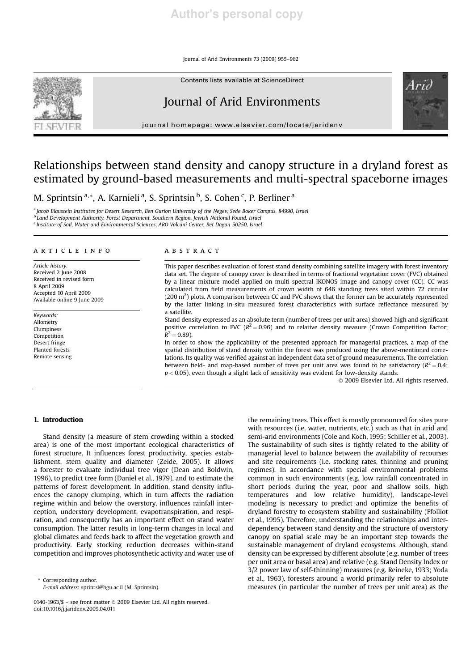Journal of Arid Environments 73 (2009) 955–962



Contents lists available at ScienceDirect

# Journal of Arid Environments



journal homepage: www.elsevier.com/locate/jaridenv

# Relationships between stand density and canopy structure in a dryland forest as estimated by ground-based measurements and multi-spectral spaceborne images

## M. Sprintsin <sup>a, \*</sup>, A. Karnieli <sup>a</sup>, S. Sprintsin <sup>b</sup>, S. Cohen <sup>c</sup>, P. Berliner <sup>a</sup>

<sup>a</sup> Jacob Blaustein Institutes for Desert Research, Ben Gurion University of the Negev, Sede Boker Campus, 84990, Israel<br><sup>b</sup> Land Development Authority, Forest Department, Southern Region, Jewish National Found, Israel c *Institute of Soil, Water and Environmental Sciences, ARO Volcani Center, Bet Dagan 50250, Israel*

#### article info

*Article history:* Received 2 June 2008 Received in revised form 8 April 2009 Accepted 10 April 2009 Available online 9 June 2009

*Keywords:* Allometry Clumpiness Competition Desert fringe Planted forests Remote sensing

## **ABSTRACT**

This paper describes evaluation of forest stand density combining satellite imagery with forest inventory data set. The degree of canopy cover is described in terms of fractional vegetation cover (FVC) obtained by a linear mixture model applied on multi-spectral IKONOS image and canopy cover (CC). CC was calculated from field measurements of crown width of 646 standing trees sited within 72 circular (200  $\text{m}^2$ ) plots. A comparison between CC and FVC shows that the former can be accurately represented by the latter linking in-situ measured forest characteristics with surface reflectance measured by a satellite.

Stand density expressed as an absolute term (number of trees per unit area) showed high and significant positive correlation to FVC ( $R^2 = 0.96$ ) and to relative density measure (Crown Competition Factor;  $R^2 = 0.89$ ).

In order to show the applicability of the presented approach for managerial practices, a map of the spatial distribution of stand density within the forest was produced using the above-mentioned correlations. Its quality was verified against an independent data set of ground measurements. The correlation between field- and map-based number of trees per unit area was found to be satisfactory  $(R^2 = 0.4$ ; *p* < 0.05), even though a slight lack of sensitivity was evident for low-density stands.

 $©$  2009 Elsevier Ltd. All rights reserved.

## 1. Introduction

Stand density (a measure of stem crowding within a stocked area) is one of the most important ecological characteristics of forest structure. It influences forest productivity, species establishment, stem quality and diameter (Zeide, 2005). It allows a forester to evaluate individual tree vigor (Dean and Boldwin, 1996), to predict tree form (Daniel et al., 1979), and to estimate the patterns of forest development. In addition, stand density influences the canopy clumping, which in turn affects the radiation regime within and below the overstory, influences rainfall interception, understory development, evapotranspiration, and respiration, and consequently has an important effect on stand water consumption. The latter results in long-term changes in local and global climates and feeds back to affect the vegetation growth and productivity. Early stocking reduction decreases within-stand competition and improves photosynthetic activity and water use of

\* Corresponding author.

*E-mail address:* sprintsi@bgu.ac.il (M. Sprintsin).

the remaining trees. This effect is mostly pronounced for sites pure with resources (i.e. water, nutrients, etc.) such as that in arid and semi-arid environments (Cole and Koch, 1995; Schiller et al., 2003). The sustainability of such sites is tightly related to the ability of managerial level to balance between the availability of recourses and site requirements (i.e. stocking rates, thinning and pruning regimes). In accordance with special environmental problems common in such environments (e.g. low rainfall concentrated in short periods during the year, poor and shallow soils, high temperatures and low relative humidity), landscape-level modeling is necessary to predict and optimize the benefits of dryland forestry to ecosystem stability and sustainability (Ffolliot et al., 1995). Therefore, understanding the relationships and interdependency between stand density and the structure of overstory canopy on spatial scale may be an important step towards the sustainable management of dryland ecosystems. Although, stand density can be expressed by different absolute (e.g. number of trees per unit area or basal area) and relative (e.g. Stand Density Index or 3/2 power law of self-thinning) measures (e.g. Reineke, 1933; Yoda et al., 1963), foresters around a world primarily refer to absolute measures (in particular the number of trees per unit area) as the

<sup>0140-1963/\$ -</sup> see front matter @ 2009 Elsevier Ltd. All rights reserved. doi:10.1016/j.jaridenv.2009.04.011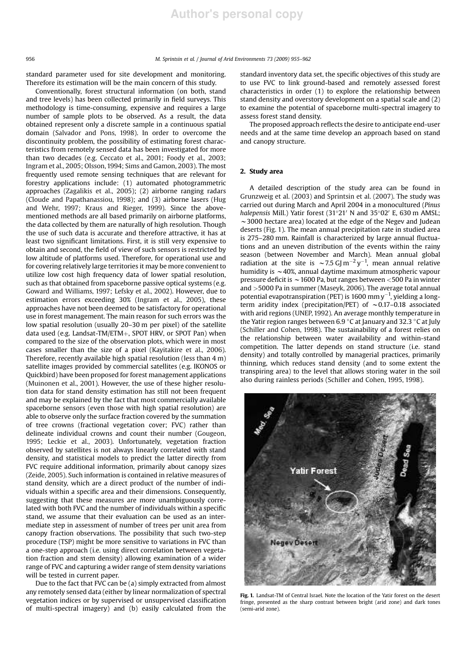standard parameter used for site development and monitoring. Therefore its estimation will be the main concern of this study.

Conventionally, forest structural information (on both, stand and tree levels) has been collected primarily in field surveys. This methodology is time-consuming, expensive and requires a large number of sample plots to be observed. As a result, the data obtained represent only a discrete sample in a continuous spatial domain (Salvador and Pons, 1998). In order to overcome the discontinuity problem, the possibility of estimating forest characteristics from remotely sensed data has been investigated for more than two decades (e.g. Ceccato et al., 2001; Foody et al., 2003; Ingram et al., 2005; Olsson, 1994; Sims and Gamon, 2003). The most frequently used remote sensing techniques that are relevant for forestry applications include: (1) automated photogrammetric approaches (Zagalikis et al., 2005); (2) airborne ranging radars (Cloude and Papathanassiou, 1998); and (3) airborne lasers (Hug and Wehr, 1997; Kraus and Rieger, 1999). Since the abovementioned methods are all based primarily on airborne platforms, the data collected by them are naturally of high resolution. Though the use of such data is accurate and therefore attractive, it has at least two significant limitations. First, it is still very expensive to obtain and second, the field of view of such sensors is restricted by low altitude of platforms used. Therefore, for operational use and for covering relatively large territories it may be more convenient to utilize low cost high frequency data of lower spatial resolution, such as that obtained from spaceborne passive optical systems (e.g. Goward and Williams, 1997; Lefsky et al., 2002). However, due to estimation errors exceeding 30% (Ingram et al., 2005), these approaches have not been deemed to be satisfactory for operational use in forest management. The main reason for such errors was the low spatial resolution (usually 20–30 m per pixel) of the satellite data used (e.g. Landsat-TM/ETM $+$ , SPOT HRV, or SPOT Pan) when compared to the size of the observation plots, which were in most cases smaller than the size of a pixel (Kayitakire et al., 2006). Therefore, recently available high spatial resolution (less than 4 m) satellite images provided by commercial satellites (e.g. IKONOS or Quickbird) have been proposed for forest management applications (Muinonen et al., 2001). However, the use of these higher resolution data for stand density estimation has still not been frequent and may be explained by the fact that most commercially available spaceborne sensors (even those with high spatial resolution) are able to observe only the surface fraction covered by the summation of tree crowns (fractional vegetation cover; FVC) rather than delineate individual crowns and count their number (Gougeon, 1995; Leckie et al., 2003). Unfortunately, vegetation fraction observed by satellites is not always linearly correlated with stand density, and statistical models to predict the latter directly from FVC require additional information, primarily about canopy sizes (Zeide, 2005). Such information is contained in relative measures of stand density, which are a direct product of the number of individuals within a specific area and their dimensions. Consequently, suggesting that these measures are more unambiguously correlated with both FVC and the number of individuals within a specific stand, we assume that their evaluation can be used as an intermediate step in assessment of number of trees per unit area from canopy fraction observations. The possibility that such two-step procedure (TSP) might be more sensitive to variations in FVC than a one-step approach (i.e. using direct correlation between vegetation fraction and stem density) allowing examination of a wider range of FVC and capturing a wider range of stem density variations will be tested in current paper.

Due to the fact that FVC can be (a) simply extracted from almost any remotely sensed data (either by linear normalization of spectral vegetation indices or by supervised or unsupervised classification of multi-spectral imagery) and (b) easily calculated from the standard inventory data set, the specific objectives of this study are to use FVC to link ground-based and remotely assessed forest characteristics in order (1) to explore the relationship between stand density and overstory development on a spatial scale and (2) to examine the potential of spaceborne multi-spectral imagery to assess forest stand density.

The proposed approach reflects the desire to anticipate end-user needs and at the same time develop an approach based on stand and canopy structure.

#### 2. Study area

A detailed description of the study area can be found in Grunzweig et al. (2003) and Sprintsin et al. (2007). The study was carried out during March and April 2004 in a monocultured (*Pinus* halepensis Mill.) Yatir forest (31°21' N and 35°02' E, 630 m AMSL;  $\sim$ 3000 hectare area) located at the edge of the Negev and Judean deserts (Fig. 1). The mean annual precipitation rate in studied area is 275–280 mm. Rainfall is characterized by large annual fluctuations and an uneven distribution of the events within the rainy season (between November and March). Mean annual global radiation at the site is  $\sim$  7.5 GJ m<sup>-2</sup> y<sup>-1</sup>, mean annual relative humidity is  $\sim$  40%, annual daytime maximum atmospheric vapour pressure deficit is  $\sim$  1600 Pa, but ranges between <500 Pa in winter and >5000 Pa in summer (Maseyk, 2006). The average total annual potential evapotranspiration (PET) is 1600 mm y<sup>-1</sup>, yielding a longterm aridity index (precipitation/PET) of  $\sim$  0.17–0.18 associated with arid regions (UNEP, 1992). An average monthly temperature in the Yatir region ranges between 6.9  $\degree$ C at January and 32.3  $\degree$ C at July (Schiller and Cohen, 1998). The sustainability of a forest relies on the relationship between water availability and within-stand competition. The latter depends on stand structure (i.e. stand density) and totally controlled by managerial practices, primarily thinning, which reduces stand density (and to some extent the transpiring area) to the level that allows storing water in the soil also during rainless periods (Schiller and Cohen, 1995, 1998).



Fig. 1. Landsat-TM of Central Israel. Note the location of the Yatir forest on the desert fringe, presented as the sharp contrast between bright (arid zone) and dark tones (semi-arid zone).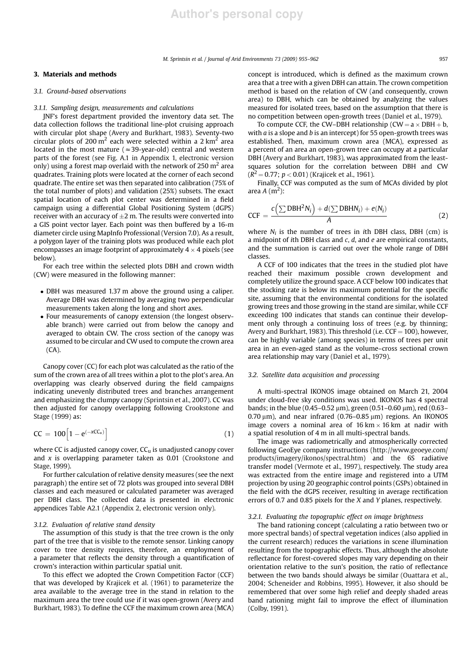#### 3. Materials and methods

## *3.1. Ground-based observations*

#### *3.1.1. Sampling design, measurements and calculations*

JNF's forest department provided the inventory data set. The data collection follows the traditional line-plot cruising approach with circular plot shape (Avery and Burkhart, 1983). Seventy-two circular plots of 200 m<sup>2</sup> each were selected within a 2 km<sup>2</sup> area located in the most mature ( $\approx$ 39-year-old) central and western parts of the forest (see Fig. A.1 in Appendix 1, electronic version only) using a forest map overlaid with the network of 250  $m<sup>2</sup>$  area quadrates. Training plots were located at the corner of each second quadrate. The entire set was then separated into calibration (75% of the total number of plots) and validation (25%) subsets. The exact spatial location of each plot center was determined in a field campaign using a differential Global Positioning System (dGPS) receiver with an accuracy of  $\pm 2$  m. The results were converted into a GIS point vector layer. Each point was then buffered by a 16-m diameter circle using MapInfo Professional (Version 7.0). As a result, a polygon layer of the training plots was produced while each plot encompasses an image footprint of approximately  $4 \times 4$  pixels (see below).

For each tree within the selected plots DBH and crown width (CW) were measured in the following manner:

- DBH was measured 1.37 m above the ground using a caliper. Average DBH was determined by averaging two perpendicular measurements taken along the long and short axes.
- Four measurements of canopy extension (the longest observable branch) were carried out from below the canopy and averaged to obtain CW. The cross section of the canopy was assumed to be circular and CW used to compute the crown area (CA).

Canopy cover (CC) for each plot was calculated as the ratio of the sum of the crown area of all trees within a plot to the plot's area. An overlapping was clearly observed during the field campaigns indicating unevenly distributed trees and branches arrangement and emphasizing the clumpy canopy (Sprintsin et al., 2007). CC was then adjusted for canopy overlapping following Crookstone and Stage (1999) as:

$$
CC = 100\left[1 - e^{(-xCC_u)}\right]
$$
 (1)

where CC is adjusted canopy cover,  $CC<sub>u</sub>$  is unadjusted canopy cover and *x* is overlapping parameter taken as 0.01 (Crookstone and Stage, 1999).

For further calculation of relative density measures (see the next paragraph) the entire set of 72 plots was grouped into several DBH classes and each measured or calculated parameter was averaged per DBH class. The collected data is presented in electronic appendices Table A2.1 (Appendix 2, electronic version only).

#### *3.1.2. Evaluation of relative stand density*

The assumption of this study is that the tree crown is the only part of the tree that is visible to the remote sensor. Linking canopy cover to tree density requires, therefore, an employment of a parameter that reflects the density through a quantification of crown's interaction within particular spatial unit.

To this effect we adopted the Crown Competition Factor (CCF) that was developed by Krajicek et al. (1961) to parameterize the area available to the average tree in the stand in relation to the maximum area the tree could use if it was open-grown (Avery and Burkhart, 1983). To define the CCF the maximum crown area (MCA) concept is introduced, which is defined as the maximum crown area that a tree with a given DBH can attain. The crown competition method is based on the relation of CW (and consequently, crown area) to DBH, which can be obtained by analyzing the values measured for isolated trees, based on the assumption that there is no competition between open-growth trees (Daniel et al., 1979).

To compute CCF, the CW–DBH relationship (CW =  $a \times DBH + b$ , with *a* is a slope and *b* is an intercept) for 55 open-growth trees was established. Then, maximum crown area (MCA), expressed as a percent of an area an open-grown tree can occupy at a particular DBH (Avery and Burkhart, 1983), was approximated from the leastsquares solution for the correlation between DBH and CW (*R*<sup>2</sup> = 0.77; *p* < 0.01) (Krajicek et al., 1961).

Finally, CCF was computed as the sum of MCAs divided by plot area  $A(m^2)$ :

$$
CCF = \frac{c(\sum DBH^2N_i) + d(\sum DBHN_i) + e(N_i)}{A}
$$
 (2)

where  $N_i$  is the number of trees in *i*th DBH class, DBH (cm) is a midpoint of *i*th DBH class and *c*, *d*, and *e* are empirical constants, and the summation is carried out over the whole range of DBH classes.

A CCF of 100 indicates that the trees in the studied plot have reached their maximum possible crown development and completely utilize the ground space. A CCF below 100 indicates that the stocking rate is below its maximum potential for the specific site, assuming that the environmental conditions for the isolated growing trees and those growing in the stand are similar, while CCF exceeding 100 indicates that stands can continue their development only through a continuing loss of trees (e.g. by thinning; Avery and Burkhart, 1983). This threshold (i.e.  $CCF = 100$ ), however, can be highly variable (among species) in terms of trees per unit area in an even-aged stand as the volume–cross sectional crown area relationship may vary (Daniel et al., 1979).

#### *3.2. Satellite data acquisition and processing*

A multi-spectral IKONOS image obtained on March 21, 2004 under cloud-free sky conditions was used. IKONOS has 4 spectral bands; in the blue (0.45–0.52  $\mu$ m), green (0.51–0.60  $\mu$ m), red (0.63–  $0.70 \,\mu$ m), and near infrared  $(0.76-0.85 \,\mu$ m) regions. An IKONOS image covers a nominal area of 16 km  $\times$  16 km at nadir with a spatial resolution of 4 m in all multi-spectral bands.

The image was radiometrically and atmospherically corrected following GeoEye company instructions (http://www.geoeye.com/ products/imagery/ikonos/spectral.htm) and the 6S radiative transfer model (Vermote et al., 1997), respectively. The study area was extracted from the entire image and registered into a UTM projection by using 20 geographic control points (GSPs) obtained in the field with the dGPS receiver, resulting in average rectification errors of 0.7 and 0.85 pixels for the *X* and *Y* planes, respectively.

## *3.2.1. Evaluating the topographic effect on image brightness*

The band rationing concept (calculating a ratio between two or more spectral bands) of spectral vegetation indices (also applied in the current research) reduces the variations in scene illumination resulting from the topographic effects. Thus, although the absolute reflectance for forest-covered slopes may vary depending on their orientation relative to the sun's position, the ratio of reflectance between the two bands should always be similar (Ouattara et al., 2004; Scheneider and Robbins, 1995). However, it also should be remembered that over some high relief and deeply shaded areas band rationing might fail to improve the effect of illumination (Colby, 1991).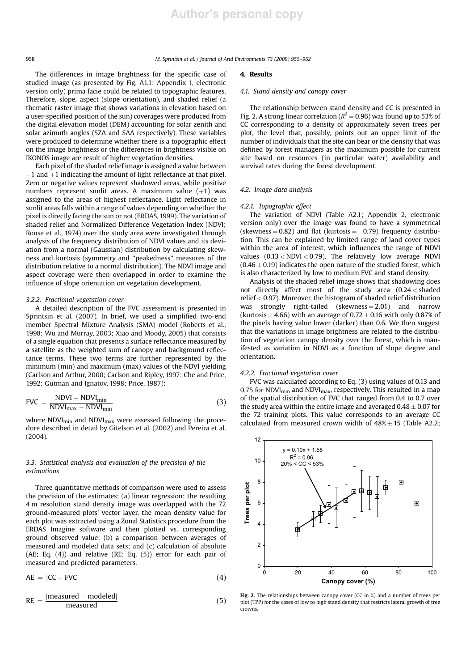958 *M. Sprintsin et al. / Journal of Arid Environments 73 (2009) 955–962*

#### 4. Results

## studied image (as presented by Fig. A1.1; Appendix 1, electronic version only) prima facie could be related to topographic features. Therefore, slope, aspect (slope orientation), and shaded relief (a thematic raster image that shows variations in elevation based on a user-specified position of the sun) coverages were produced from the digital elevation model (DEM) accounting for solar zenith and solar azimuth angles (SZA and SAA respectively). These variables were produced to determine whether there is a topographic effect on the image brightness or the differences in brightness visible on IKONOS image are result of higher vegetation densities.

The differences in image brightness for the specific case of

Each pixel of the shaded relief image is assigned a value between  $-1$  and  $+1$  indicating the amount of light reflectance at that pixel. Zero or negative values represent shadowed areas, while positive numbers represent sunlit areas. A maximum value  $(+1)$  was assigned to the areas of highest reflectance. Light reflectance in sunlit areas falls within a range of values depending on whether the pixel is directly facing the sun or not (ERDAS, 1999). The variation of shaded relief and Normalized Difference Vegetation Index (NDVI; Rouse et al., 1974) over the study area were investigated through analysis of the frequency distribution of NDVI values and its deviation from a normal (Gaussian) distribution by calculating skewness and kurtosis (symmetry and ''peakedness'' measures of the distribution relative to a normal distribution). The NDVI image and aspect coverage were then overlapped in order to examine the influence of slope orientation on vegetation development.

## *3.2.2. Fractional vegetation cover*

A detailed description of the FVC assessment is presented in Sprintsin et al. (2007). In brief, we used a simplified two-end member Spectral Mixture Analysis (SMA) model (Roberts et al., 1998; Wu and Murray, 2003; Xiao and Moody, 2005) that consists of a single equation that presents a surface reflectance measured by a satellite as the weighted sum of canopy and background reflectance terms. These two terms are further represented by the minimum (min) and maximum (max) values of the NDVI yielding (Carlson and Arthur, 2000; Carlson and Ripley, 1997; Che and Price, 1992; Gutman and Ignatov, 1998; Price, 1987):

$$
FVC = \frac{NDVI - NDVI_{min}}{NDVI_{max} - NDVI_{min}}
$$
\n(3)

where NDVI<sub>min</sub> and NDVI<sub>max</sub> were assessed following the procedure described in detail by Gitelson et al. (2002) and Pereira et al.  $(2004)$ .

## *3.3. Statistical analysis and evaluation of the precision of the estimations*

Three quantitative methods of comparison were used to assess the precision of the estimates: (a) linear regression: the resulting 4 m resolution stand density image was overlapped with the 72 ground-measured plots' vector layer, the mean density value for each plot was extracted using a Zonal Statistics procedure from the ERDAS Imagine software and then plotted vs. corresponding ground observed value; (b) a comparison between averages of measured and modeled data sets; and (c) calculation of absolute  $(AE; Eq. (4))$  and relative  $(RE; Eq. (5))$  error for each pair of measured and predicted parameters.

$$
AE = |CC - FVC| \tag{4}
$$

$$
RE = \frac{|measured - modeled|}{measured}
$$
 (5)

## *4.1. Stand density and canopy cover*

The relationship between stand density and CC is presented in Fig. 2. A strong linear correlation ( $R^2$  = 0.96) was found up to 53% of CC corresponding to a density of approximately seven trees per plot, the level that, possibly, points out an upper limit of the number of individuals that the site can bear or the density that was defined by forest managers as the maximum possible for current site based on resources (in particular water) availability and survival rates during the forest development.

#### *4.2. Image data analysis*

#### *4.2.1. Topographic effect*

The variation of NDVI (Table A2.1; Appendix 2, electronic version only) over the image was found to have a symmetrical (skewness  $= 0.82$ ) and flat (kurtosis  $= -0.79$ ) frequency distribution. This can be explained by limited range of land cover types within the area of interest, which influences the range of NDVI values  $(0.13 < NDVI < 0.79)$ . The relatively low average NDVI  $(0.46 \pm 0.19)$  indicates the open nature of the studied forest, which is also characterized by low to medium FVC and stand density.

Analysis of the shaded relief image shows that shadowing does not directly affect most of the study area (0.24 < shaded relief < 0.97). Moreover, the histogram of shaded relief distribution was strongly right-tailed (skewness  $= 2.01$ ) and narrow (kurtosis = 4.66) with an average of  $0.72 \pm 0.16$  with only 0.87% of the pixels having value lower (darker) than 0.6. We then suggest that the variations in image brightness are related to the distribution of vegetation canopy density over the forest, which is manifested as variation in NDVI as a function of slope degree and orientation.

#### *4.2.2. Fractional vegetation cover*

FVC was calculated according to Eq. (3) using values of 0.13 and 0.75 for NDVI $_{\rm min}$  and NDVI $_{\rm max}$ , respectively. This resulted in a map of the spatial distribution of FVC that ranged from 0.4 to 0.7 over the study area within the entire image and averaged  $0.48 \pm 0.07$  for the 72 training plots. This value corresponds to an average CC calculated from measured crown width of  $48\% \pm 15$  (Table A2.2;



Fig. 2. The relationships between canopy cover (CC in %) and a number of trees per plot (TPP) for the cases of low to high stand density that restricts lateral growth of tree crowns.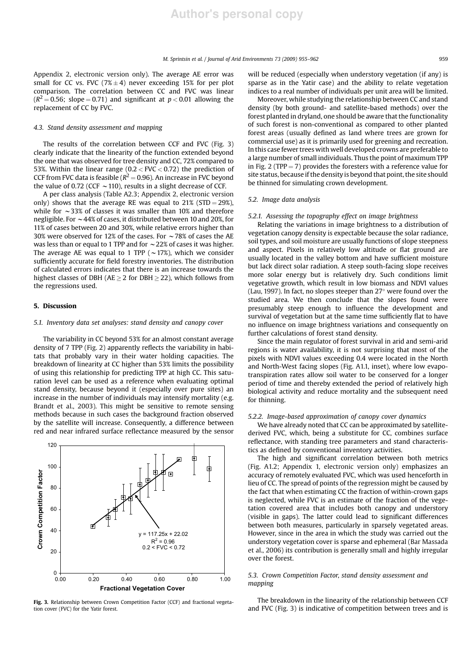Appendix 2, electronic version only). The average AE error was small for CC vs. FVC ( $7\% \pm 4$ ) never exceeding 15% for per plot comparison. The correlation between CC and FVC was linear  $(R<sup>2</sup>=0.56$ ; slope  $= 0.71$ ) and significant at  $p < 0.01$  allowing the replacement of CC by FVC.

## *4.3. Stand density assessment and mapping*

The results of the correlation between CCF and FVC (Fig. 3) clearly indicate that the linearity of the function extended beyond the one that was observed for tree density and CC, 72% compared to 53%. Within the linear range  $(0.2 < FVC < 0.72)$  the prediction of CCF from FVC data is feasible ( $R^2$  = 0.96). An increase in FVC beyond the value of 0.72 (CCF  $\sim$  110), results in a slight decrease of CCF.

A per class analysis (Table A2.3; Appendix 2, electronic version only) shows that the average RE was equal to  $21\%$  (STD =  $29\%$ ), while for  $\sim$ 33% of classes it was smaller than 10% and therefore negligible. For  $\sim$  44% of cases, it distributed between 10 and 20%, for 11% of cases between 20 and 30%, while relative errors higher than 30% were observed for 12% of the cases. For  $\sim$  78% of cases the AE was less than or equal to 1 TPP and for  $\sim$  22% of cases it was higher. The average AE was equal to 1 TPP ( $\sim$ 17%), which we consider sufficiently accurate for field forestry inventories. The distribution of calculated errors indicates that there is an increase towards the highest classes of DBH ( $AE \ge 2$  for DBH  $\ge 22$ ), which follows from the regressions used.

#### 5. Discussion

#### *5.1. Inventory data set analyses: stand density and canopy cover*

The variability in CC beyond 53% for an almost constant average density of 7 TPP (Fig. 2) apparently reflects the variability in habitats that probably vary in their water holding capacities. The breakdown of linearity at CC higher than 53% limits the possibility of using this relationship for predicting TPP at high CC. This saturation level can be used as a reference when evaluating optimal stand density, because beyond it (especially over pure sites) an increase in the number of individuals may intensify mortality (e.g. Brandt et al., 2003). This might be sensitive to remote sensing methods because in such cases the background fraction observed by the satellite will increase. Consequently, a difference between red and near infrared surface reflectance measured by the sensor



Fig. 3. Relationship between Crown Competition Factor (CCF) and fractional vegetation cover (FVC) for the Yatir forest.

will be reduced (especially when understory vegetation (if any) is sparse as in the Yatir case) and the ability to relate vegetation indices to a real number of individuals per unit area will be limited.

Moreover, while studying the relationship between CC and stand density (by both ground- and satellite-based methods) over the forest planted in dryland, one should be aware that the functionality of such forest is non-conventional as compared to other planted forest areas (usually defined as land where trees are grown for commercial use) as it is primarily used for greening and recreation. In this case fewer trees with well developed crowns are preferable to a large number of small individuals. Thus the point of maximum TPP in Fig. 2 (TPP  $=$  7) provides the foresters with a reference value for site status, because if the density is beyond that point, the site should be thinned for simulating crown development.

#### *5.2. Image data analysis*

#### *5.2.1. Assessing the topography effect on image brightness*

Relating the variations in image brightness to a distribution of vegetation canopy density is expectable because the solar radiance, soil types, and soil moisture are usually functions of slope steepness and aspect. Pixels in relatively low altitude or flat ground are usually located in the valley bottom and have sufficient moisture but lack direct solar radiation. A steep south-facing slope receives more solar energy but is relatively dry. Such conditions limit vegetative growth, which result in low biomass and NDVI values (Lau, 1997). In fact, no slopes steeper than  $27^{\circ}$  were found over the studied area. We then conclude that the slopes found were presumably steep enough to influence the development and survival of vegetation but at the same time sufficiently flat to have no influence on image brightness variations and consequently on further calculations of forest stand density.

Since the main regulator of forest survival in arid and semi-arid regions is water availability, it is not surprising that most of the pixels with NDVI values exceeding 0.4 were located in the North and North-West facing slopes (Fig. A1.1, inset), where low evapotranspiration rates allow soil water to be conserved for a longer period of time and thereby extended the period of relatively high biological activity and reduce mortality and the subsequent need for thinning.

#### *5.2.2. Image-based approximation of canopy cover dynamics*

We have already noted that CC can be approximated by satellitederived FVC, which, being a substitute for CC, combines surface reflectance, with standing tree parameters and stand characteristics as defined by conventional inventory activities.

The high and significant correlation between both metrics (Fig. A1.2; Appendix 1, electronic version only) emphasizes an accuracy of remotely evaluated FVC, which was used henceforth in lieu of CC. The spread of points of the regression might be caused by the fact that when estimating CC the fraction of within-crown gaps is neglected, while FVC is an estimate of the fraction of the vegetation covered area that includes both canopy and understory (visible in gaps). The latter could lead to significant differences between both measures, particularly in sparsely vegetated areas. However, since in the area in which the study was carried out the understory vegetation cover is sparse and ephemeral (Bar Massada et al., 2006) its contribution is generally small and highly irregular over the forest.

## *5.3. Crown Competition Factor, stand density assessment and mapping*

The breakdown in the linearity of the relationship between CCF and FVC (Fig. 3) is indicative of competition between trees and is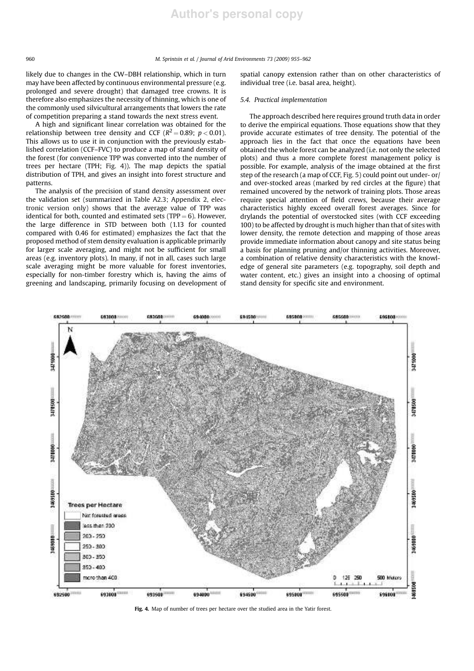likely due to changes in the CW–DBH relationship, which in turn may have been affected by continuous environmental pressure (e.g. prolonged and severe drought) that damaged tree crowns. It is therefore also emphasizes the necessity of thinning, which is one of the commonly used silvicultural arrangements that lowers the rate of competition preparing a stand towards the next stress event.

A high and significant linear correlation was obtained for the relationship between tree density and CCF ( $R^2$  = 0.89;  $p <$  0.01). This allows us to use it in conjunction with the previously established correlation (CCF–FVC) to produce a map of stand density of the forest (for convenience TPP was converted into the number of trees per hectare (TPH; Fig. 4)). The map depicts the spatial distribution of TPH, and gives an insight into forest structure and patterns.

The analysis of the precision of stand density assessment over the validation set (summarized in Table A2.3; Appendix 2, electronic version only) shows that the average value of TPP was identical for both, counted and estimated sets (TPP  $= 6$ ). However, the large difference in STD between both (1.13 for counted compared with 0.46 for estimated) emphasizes the fact that the proposed method of stem density evaluation is applicable primarily for larger scale averaging, and might not be sufficient for small areas (e.g. inventory plots). In many, if not in all, cases such large scale averaging might be more valuable for forest inventories, especially for non-timber forestry which is, having the aims of greening and landscaping, primarily focusing on development of spatial canopy extension rather than on other characteristics of individual tree (i.e. basal area, height).

#### *5.4. Practical implementation*

The approach described here requires ground truth data in order to derive the empirical equations. Those equations show that they provide accurate estimates of tree density. The potential of the approach lies in the fact that once the equations have been obtained the whole forest can be analyzed (i.e. not only the selected plots) and thus a more complete forest management policy is possible. For example, analysis of the image obtained at the first step of the research (a map of CCF, Fig. 5) could point out under- or/ and over-stocked areas (marked by red circles at the figure) that remained uncovered by the network of training plots. Those areas require special attention of field crews, because their average characteristics highly exceed overall forest averages. Since for drylands the potential of overstocked sites (with CCF exceeding 100) to be affected by drought is much higher than that of sites with lower density, the remote detection and mapping of those areas provide immediate information about canopy and site status being a basis for planning pruning and/or thinning activities. Moreover, a combination of relative density characteristics with the knowledge of general site parameters (e.g. topography, soil depth and water content, etc.) gives an insight into a choosing of optimal stand density for specific site and environment.



Fig. 4. Map of number of trees per hectare over the studied area in the Yatir forest.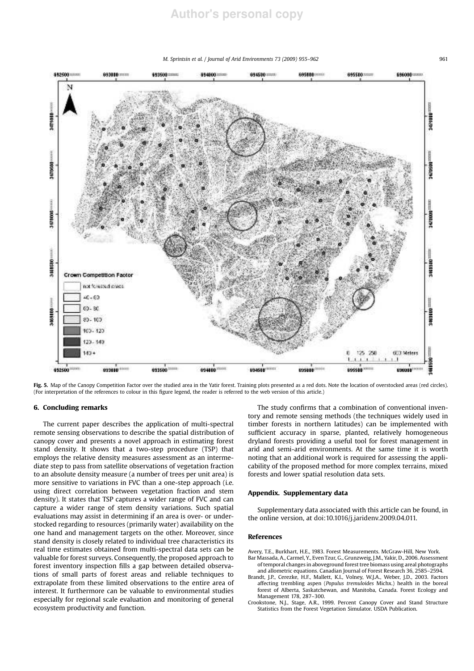*M. Sprintsin et al. / Journal of Arid Environments 73 (2009) 955–962* 961



Fig. 5. Map of the Canopy Competition Factor over the studied area in the Yatir forest. Training plots presented as a red dots. Note the location of overstocked areas (red circles). (For interpretation of the references to colour in this figure legend, the reader is referred to the web version of this article.)

## 6. Concluding remarks

The current paper describes the application of multi-spectral remote sensing observations to describe the spatial distribution of canopy cover and presents a novel approach in estimating forest stand density. It shows that a two-step procedure (TSP) that employs the relative density measures assessment as an intermediate step to pass from satellite observations of vegetation fraction to an absolute density measure (a number of trees per unit area) is more sensitive to variations in FVC than a one-step approach (i.e. using direct correlation between vegetation fraction and stem density). It states that TSP captures a wider range of FVC and can capture a wider range of stem density variations. Such spatial evaluations may assist in determining if an area is over- or understocked regarding to resources (primarily water) availability on the one hand and management targets on the other. Moreover, since stand density is closely related to individual tree characteristics its real time estimates obtained from multi-spectral data sets can be valuable for forest surveys. Consequently, the proposed approach to forest inventory inspection fills a gap between detailed observations of small parts of forest areas and reliable techniques to extrapolate from these limited observations to the entire area of interest. It furthermore can be valuable to environmental studies especially for regional scale evaluation and monitoring of general ecosystem productivity and function.

The study confirms that a combination of conventional inventory and remote sensing methods (the techniques widely used in timber forests in northern latitudes) can be implemented with sufficient accuracy in sparse, planted, relatively homogeneous dryland forests providing a useful tool for forest management in arid and semi-arid environments. At the same time it is worth noting that an additional work is required for assessing the applicability of the proposed method for more complex terrains, mixed forests and lower spatial resolution data sets.

#### Appendix. Supplementary data

Supplementary data associated with this article can be found, in the online version, at doi:10.1016/j.jaridenv.2009.04.011.

#### References

- Avery, T.E., Burkhart, H.E., 1983. Forest Measurements. McGraw-Hill, New York.
- Bar Massada, A., Carmel, Y., Even Tzur, G., Grunzweig, J.M., Yakir, D., 2006. Assessment of temporal changes in aboveground forest tree biomass using areal photographs and allometric equations. Canadian Journal of Forest Research 36, 2585–2594.
- Brandt, J.P., Cerezke, H.F., Mallett, K.I., Volney, W.J.A., Weber, J.D., 2003. Factors affecting trembling aspen (*Populus tremuloides* Michx.) health in the boreal forest of Alberta, Saskatchewan, and Manitoba, Canada. Forest Ecology and Management 178, 287–300.
- Crookstone, N.J., Stage, A.R., 1999. Percent Canopy Cover and Stand Structure Statistics from the Forest Vegetation Simulator. USDA Publication.